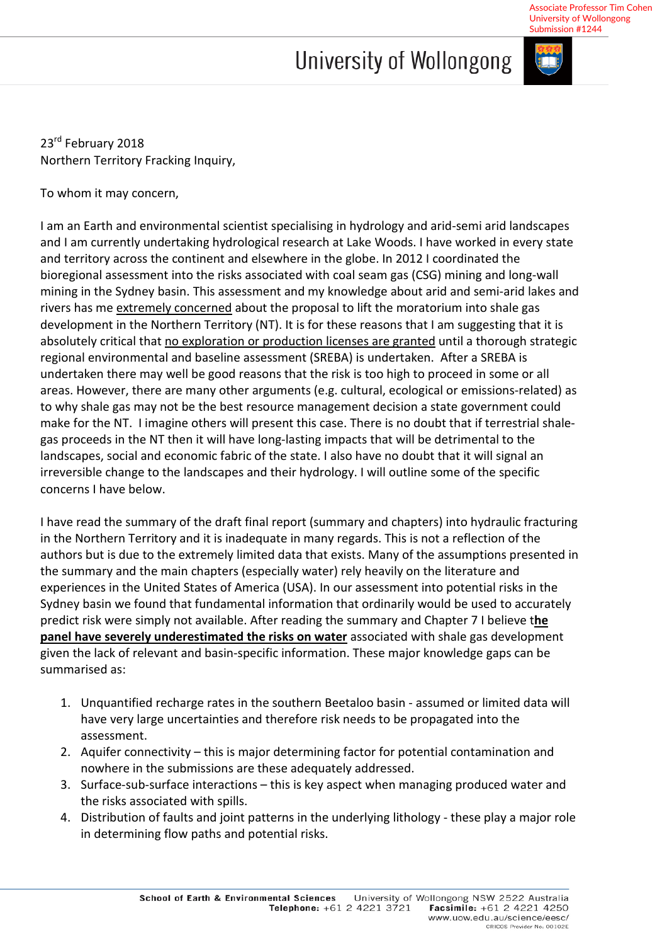## University of Wollongong



Associate Professor Tim Cohen

23<sup>rd</sup> February 2018 Northern Territory Fracking Inquiry,

To whom it may concern,

I am an Earth and environmental scientist specialising in hydrology and arid-semi arid landscapes and I am currently undertaking hydrological research at Lake Woods. I have worked in every state and territory across the continent and elsewhere in the globe. In 2012 I coordinated the bioregional assessment into the risks associated with coal seam gas (CSG) mining and long-wall mining in the Sydney basin. This assessment and my knowledge about arid and semi-arid lakes and rivers has me extremely concerned about the proposal to lift the moratorium into shale gas development in the Northern Territory (NT). It is for these reasons that I am suggesting that it is absolutely critical that no exploration or production licenses are granted until a thorough strategic regional environmental and baseline assessment (SREBA) is undertaken. After a SREBA is undertaken there may well be good reasons that the risk is too high to proceed in some or all areas. However, there are many other arguments (e.g. cultural, ecological or emissions-related) as to why shale gas may not be the best resource management decision a state government could make for the NT. I imagine others will present this case. There is no doubt that if terrestrial shalegas proceeds in the NT then it will have long-lasting impacts that will be detrimental to the landscapes, social and economic fabric of the state. I also have no doubt that it will signal an irreversible change to the landscapes and their hydrology. I will outline some of the specific concerns I have below.

I have read the summary of the draft final report (summary and chapters) into hydraulic fracturing in the Northern Territory and it is inadequate in many regards. This is not a reflection of the authors but is due to the extremely limited data that exists. Many of the assumptions presented in the summary and the main chapters (especially water) rely heavily on the literature and experiences in the United States of America (USA). In our assessment into potential risks in the Sydney basin we found that fundamental information that ordinarily would be used to accurately predict risk were simply not available. After reading the summary and Chapter 7 I believe t**he panel have severely underestimated the risks on water** associated with shale gas development given the lack of relevant and basin-specific information. These major knowledge gaps can be summarised as:

- 1. Unquantified recharge rates in the southern Beetaloo basin assumed or limited data will have very large uncertainties and therefore risk needs to be propagated into the assessment.
- 2. Aquifer connectivity this is major determining factor for potential contamination and nowhere in the submissions are these adequately addressed.
- 3. Surface-sub-surface interactions this is key aspect when managing produced water and the risks associated with spills.
- 4. Distribution of faults and joint patterns in the underlying lithology these play a major role in determining flow paths and potential risks.